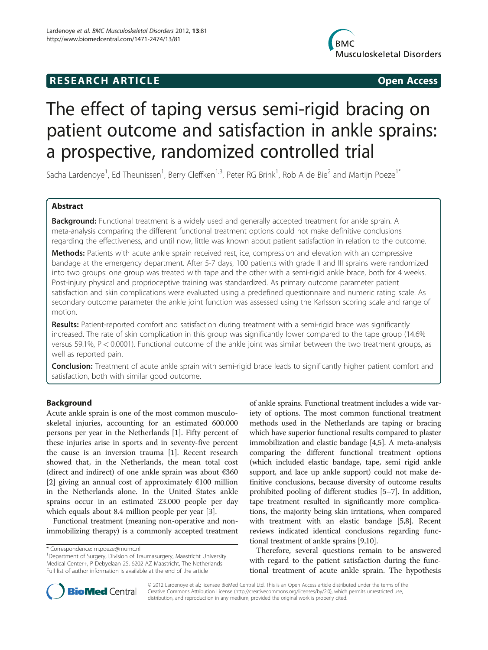# R E S EAR CH A R TIC L E Open Access



# The effect of taping versus semi-rigid bracing on patient outcome and satisfaction in ankle sprains: a prospective, randomized controlled trial

Sacha Lardenoye<sup>1</sup>, Ed Theunissen<sup>1</sup>, Berry Cleffken<sup>1,3</sup>, Peter RG Brink<sup>1</sup>, Rob A de Bie<sup>2</sup> and Martijn Poeze<sup>1\*</sup>

# Abstract

Background: Functional treatment is a widely used and generally accepted treatment for ankle sprain. A meta-analysis comparing the different functional treatment options could not make definitive conclusions regarding the effectiveness, and until now, little was known about patient satisfaction in relation to the outcome.

Methods: Patients with acute ankle sprain received rest, ice, compression and elevation with an compressive bandage at the emergency department. After 5-7 days, 100 patients with grade II and III sprains were randomized into two groups: one group was treated with tape and the other with a semi-rigid ankle brace, both for 4 weeks. Post-injury physical and proprioceptive training was standardized. As primary outcome parameter patient satisfaction and skin complications were evaluated using a predefined questionnaire and numeric rating scale. As secondary outcome parameter the ankle joint function was assessed using the Karlsson scoring scale and range of motion.

Results: Patient-reported comfort and satisfaction during treatment with a semi-rigid brace was significantly increased. The rate of skin complication in this group was significantly lower compared to the tape group (14.6% versus 59.1%, P < 0.0001). Functional outcome of the ankle joint was similar between the two treatment groups, as well as reported pain.

**Conclusion:** Treatment of acute ankle sprain with semi-rigid brace leads to significantly higher patient comfort and satisfaction, both with similar good outcome.

# Background

Acute ankle sprain is one of the most common musculoskeletal injuries, accounting for an estimated 600.000 persons per year in the Netherlands [\[1\]](#page-6-0). Fifty percent of these injuries arise in sports and in seventy-five percent the cause is an inversion trauma [\[1](#page-6-0)]. Recent research showed that, in the Netherlands, the mean total cost (direct and indirect) of one ankle sprain was about  $\epsilon$ 360 [[2\]](#page-6-0) giving an annual cost of approximately  $€100$  million in the Netherlands alone. In the United States ankle sprains occur in an estimated 23.000 people per day which equals about 8.4 million people per year [[3](#page-6-0)].

Functional treatment (meaning non-operative and nonimmobilizing therapy) is a commonly accepted treatment of ankle sprains. Functional treatment includes a wide variety of options. The most common functional treatment methods used in the Netherlands are taping or bracing which have superior functional results compared to plaster immobilization and elastic bandage [\[4,5](#page-6-0)]. A meta-analysis comparing the different functional treatment options (which included elastic bandage, tape, semi rigid ankle support, and lace up ankle support) could not make definitive conclusions, because diversity of outcome results prohibited pooling of different studies [\[5](#page-6-0)–[7](#page-6-0)]. In addition, tape treatment resulted in significantly more complications, the majority being skin irritations, when compared with treatment with an elastic bandage [[5,8\]](#page-6-0). Recent reviews indicated identical conclusions regarding functional treatment of ankle sprains [[9,10](#page-6-0)].

Therefore, several questions remain to be answered with regard to the patient satisfaction during the functional treatment of acute ankle sprain. The hypothesis



© 2012 Lardenoye et al.; licensee BioMed Central Ltd. This is an Open Access article distributed under the terms of the Creative Commons Attribution License (<http://creativecommons.org/licenses/by/2.0>), which permits unrestricted use, distribution, and reproduction in any medium, provided the original work is properly cited.

<sup>\*</sup> Correspondence: [m.poeze@mumc.nl](mailto:m.poeze@mumc.nl) <sup>1</sup>

<sup>&</sup>lt;sup>1</sup>Department of Surgery, Division of Traumasurgery, Maastricht University Medical Center+, P Debyelaan 25, 6202 AZ Maastricht, The Netherlands Full list of author information is available at the end of the article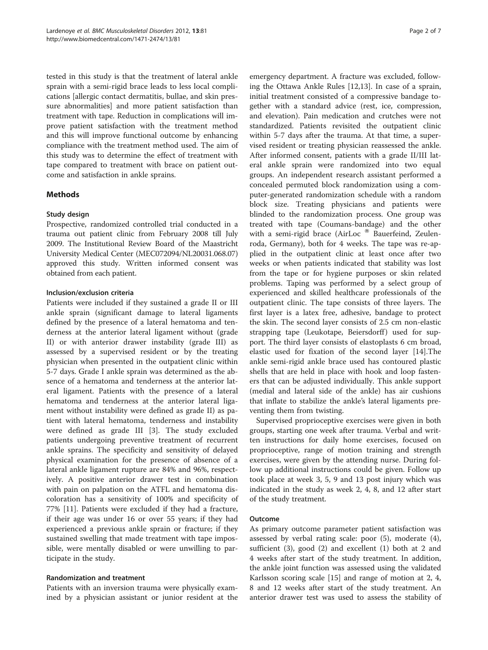tested in this study is that the treatment of lateral ankle sprain with a semi-rigid brace leads to less local complications [allergic contact dermatitis, bullae, and skin pressure abnormalities] and more patient satisfaction than treatment with tape. Reduction in complications will improve patient satisfaction with the treatment method and this will improve functional outcome by enhancing compliance with the treatment method used. The aim of this study was to determine the effect of treatment with tape compared to treatment with brace on patient outcome and satisfaction in ankle sprains.

# Methods

# Study design

Prospective, randomized controlled trial conducted in a trauma out patient clinic from February 2008 till July 2009. The Institutional Review Board of the Maastricht University Medical Center (MEC072094/NL20031.068.07) approved this study. Written informed consent was obtained from each patient.

# Inclusion/exclusion criteria

Patients were included if they sustained a grade II or III ankle sprain (significant damage to lateral ligaments defined by the presence of a lateral hematoma and tenderness at the anterior lateral ligament without (grade II) or with anterior drawer instability (grade III) as assessed by a supervised resident or by the treating physician when presented in the outpatient clinic within 5-7 days. Grade I ankle sprain was determined as the absence of a hematoma and tenderness at the anterior lateral ligament. Patients with the presence of a lateral hematoma and tenderness at the anterior lateral ligament without instability were defined as grade II) as patient with lateral hematoma, tenderness and instability were defined as grade III [[3\]](#page-6-0). The study excluded patients undergoing preventive treatment of recurrent ankle sprains. The specificity and sensitivity of delayed physical examination for the presence of absence of a lateral ankle ligament rupture are 84% and 96%, respectively. A positive anterior drawer test in combination with pain on palpation on the ATFL and hematoma discoloration has a sensitivity of 100% and specificity of 77% [\[11](#page-6-0)]. Patients were excluded if they had a fracture, if their age was under 16 or over 55 years; if they had experienced a previous ankle sprain or fracture; if they sustained swelling that made treatment with tape impossible, were mentally disabled or were unwilling to participate in the study.

# Randomization and treatment

Patients with an inversion trauma were physically examined by a physician assistant or junior resident at the

emergency department. A fracture was excluded, following the Ottawa Ankle Rules [[12,13\]](#page-6-0). In case of a sprain, initial treatment consisted of a compressive bandage together with a standard advice (rest, ice, compression, and elevation). Pain medication and crutches were not standardized. Patients revisited the outpatient clinic within 5-7 days after the trauma. At that time, a supervised resident or treating physician reassessed the ankle. After informed consent, patients with a grade II/III lateral ankle sprain were randomized into two equal groups. An independent research assistant performed a concealed permuted block randomization using a computer-generated randomization schedule with a random block size. Treating physicians and patients were blinded to the randomization process. One group was treated with tape (Coumans-bandage) and the other with a semi-rigid brace (AirLoc<sup>®</sup> Bauerfeind, Zeulenroda, Germany), both for 4 weeks. The tape was re-applied in the outpatient clinic at least once after two weeks or when patients indicated that stability was lost from the tape or for hygiene purposes or skin related problems. Taping was performed by a select group of experienced and skilled healthcare professionals of the outpatient clinic. The tape consists of three layers. The first layer is a latex free, adhesive, bandage to protect the skin. The second layer consists of 2.5 cm non-elastic strapping tape (Leukotape, Beiersdorff) used for support. The third layer consists of elastoplasts 6 cm broad, elastic used for fixation of the second layer [\[14](#page-6-0)].The ankle semi-rigid ankle brace used has contoured plastic shells that are held in place with hook and loop fasteners that can be adjusted individually. This ankle support (medial and lateral side of the ankle) has air cushions that inflate to stabilize the ankle's lateral ligaments preventing them from twisting.

Supervised proprioceptive exercises were given in both groups, starting one week after trauma. Verbal and written instructions for daily home exercises, focused on proprioceptive, range of motion training and strength exercises, were given by the attending nurse. During follow up additional instructions could be given. Follow up took place at week 3, 5, 9 and 13 post injury which was indicated in the study as week 2, 4, 8, and 12 after start of the study treatment.

# Outcome

As primary outcome parameter patient satisfaction was assessed by verbal rating scale: poor (5), moderate (4), sufficient (3), good (2) and excellent (1) both at 2 and 4 weeks after start of the study treatment. In addition, the ankle joint function was assessed using the validated Karlsson scoring scale [\[15](#page-6-0)] and range of motion at 2, 4, 8 and 12 weeks after start of the study treatment. An anterior drawer test was used to assess the stability of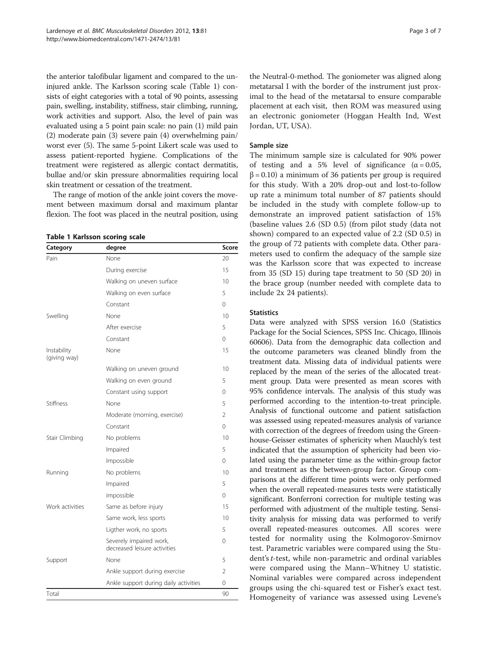the anterior talofibular ligament and compared to the uninjured ankle. The Karlsson scoring scale (Table 1) consists of eight categories with a total of 90 points, assessing pain, swelling, instability, stiffness, stair climbing, running, work activities and support. Also, the level of pain was evaluated using a 5 point pain scale: no pain (1) mild pain (2) moderate pain (3) severe pain (4) overwhelming pain/ worst ever (5). The same 5-point Likert scale was used to assess patient-reported hygiene. Complications of the treatment were registered as allergic contact dermatitis, bullae and/or skin pressure abnormalities requiring local skin treatment or cessation of the treatment.

The range of motion of the ankle joint covers the movement between maximum dorsal and maximum plantar flexion. The foot was placed in the neutral position, using

| Category                    | degree                                                  | Score          |
|-----------------------------|---------------------------------------------------------|----------------|
| Pain                        | None                                                    | 20             |
|                             | During exercise                                         | 15             |
|                             | Walking on uneven surface                               | 10             |
|                             | Walking on even surface                                 | 5              |
|                             | Constant                                                | $\Omega$       |
| Swelling                    | None                                                    | 10             |
|                             | After exercise                                          | 5              |
|                             | Constant                                                | $\Omega$       |
| Instability<br>(giving way) | None                                                    | 15             |
|                             | Walking on uneven ground                                | $10 \,$        |
|                             | Walking on even ground                                  | 5              |
|                             | Constant using support                                  | $\Omega$       |
| Stiffness                   | None                                                    | 5              |
|                             | Moderate (morning, exercise)                            | 2              |
|                             | Constant                                                | $\Omega$       |
| Stair Climbing              | No problems                                             | 10             |
|                             | Impaired                                                | 5              |
|                             | Impossible                                              | $\Omega$       |
| Running                     | No problems                                             | 10             |
|                             | Impaired                                                | 5              |
|                             | impossible                                              | $\Omega$       |
| Work activities             | Same as before injury                                   | 15             |
|                             | Same work, less sports                                  | 10             |
|                             | Ligther work, no sports                                 | 5              |
|                             | Severely impaired work,<br>decreased leisure activities | $\Omega$       |
| Support                     | None                                                    | 5              |
|                             | Ankle support during exercise                           | $\overline{2}$ |
|                             | Ankle support during daily activities                   | $\Omega$       |
| Total                       |                                                         | 90             |

the Neutral-0-method. The goniometer was aligned along metatarsal I with the border of the instrument just proximal to the head of the metatarsal to ensure comparable placement at each visit, then ROM was measured using an electronic goniometer (Hoggan Health Ind, West Jordan, UT, USA).

# Sample size

The minimum sample size is calculated for 90% power of testing and a 5% level of significance ( $\alpha = 0.05$ ,  $β = 0.10$ ) a minimum of 36 patients per group is required for this study. With a 20% drop-out and lost-to-follow up rate a minimum total number of 87 patients should be included in the study with complete follow-up to demonstrate an improved patient satisfaction of 15% (baseline values 2.6 (SD 0.5) (from pilot study (data not shown) compared to an expected value of 2.2 (SD 0.5) in the group of 72 patients with complete data. Other parameters used to confirm the adequacy of the sample size was the Karlsson score that was expected to increase from 35 (SD 15) during tape treatment to 50 (SD 20) in the brace group (number needed with complete data to include 2x 24 patients).

# **Statistics**

Data were analyzed with SPSS version 16.0 (Statistics Package for the Social Sciences, SPSS Inc. Chicago, Illinois 60606). Data from the demographic data collection and the outcome parameters was cleaned blindly from the treatment data. Missing data of individual patients were replaced by the mean of the series of the allocated treatment group. Data were presented as mean scores with 95% confidence intervals. The analysis of this study was performed according to the intention-to-treat principle. Analysis of functional outcome and patient satisfaction was assessed using repeated-measures analysis of variance with correction of the degrees of freedom using the Greenhouse-Geisser estimates of sphericity when Mauchly's test indicated that the assumption of sphericity had been violated using the parameter time as the within-group factor and treatment as the between-group factor. Group comparisons at the different time points were only performed when the overall repeated-measures tests were statistically significant. Bonferroni correction for multiple testing was performed with adjustment of the multiple testing. Sensitivity analysis for missing data was performed to verify overall repeated-measures outcomes. All scores were tested for normality using the Kolmogorov-Smirnov test. Parametric variables were compared using the Student's *t*-test, while non-parametric and ordinal variables were compared using the Mann–Whitney U statistic. Nominal variables were compared across independent groups using the chi-squared test or Fisher's exact test. Homogeneity of variance was assessed using Levene's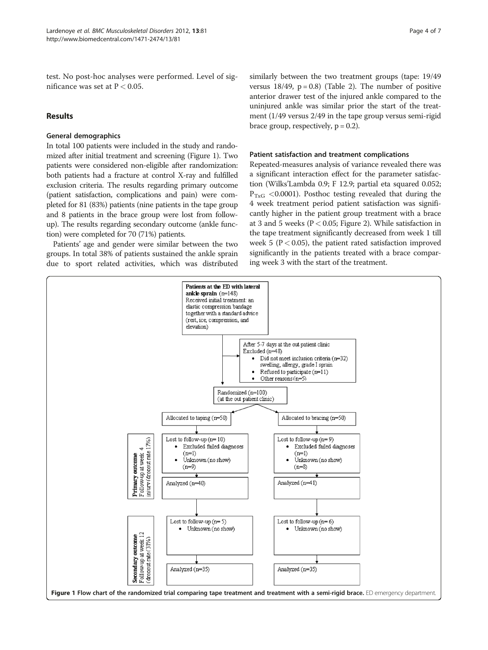test. No post-hoc analyses were performed. Level of significance was set at  $P < 0.05$ .

# Results

# General demographics

In total 100 patients were included in the study and randomized after initial treatment and screening (Figure 1). Two patients were considered non-eligible after randomization: both patients had a fracture at control X-ray and fulfilled exclusion criteria. The results regarding primary outcome (patient satisfaction, complications and pain) were completed for 81 (83%) patients (nine patients in the tape group and 8 patients in the brace group were lost from followup). The results regarding secondary outcome (ankle function) were completed for 70 (71%) patients.

Patients' age and gender were similar between the two groups. In total 38% of patients sustained the ankle sprain due to sport related activities, which was distributed similarly between the two treatment groups (tape: 19/49 versus  $18/49$ ,  $p = 0.8$ ) (Table [2](#page-4-0)). The number of positive anterior drawer test of the injured ankle compared to the uninjured ankle was similar prior the start of the treatment (1/49 versus 2/49 in the tape group versus semi-rigid brace group, respectively,  $p = 0.2$ ).

#### Patient satisfaction and treatment complications

Repeated-measures analysis of variance revealed there was a significant interaction effect for the parameter satisfaction (Wilks'Lambda 0.9; F 12.9; partial eta squared 0.052;  $P<sub>TxG</sub> < 0.0001$ ). Posthoc testing revealed that during the 4 week treatment period patient satisfaction was significantly higher in the patient group treatment with a brace at 3 and 5 weeks ( $P < 0.05$ ; Figure [2](#page-4-0)). While satisfaction in the tape treatment significantly decreased from week 1 till week 5 ( $P < 0.05$ ), the patient rated satisfaction improved significantly in the patients treated with a brace comparing week 3 with the start of the treatment.

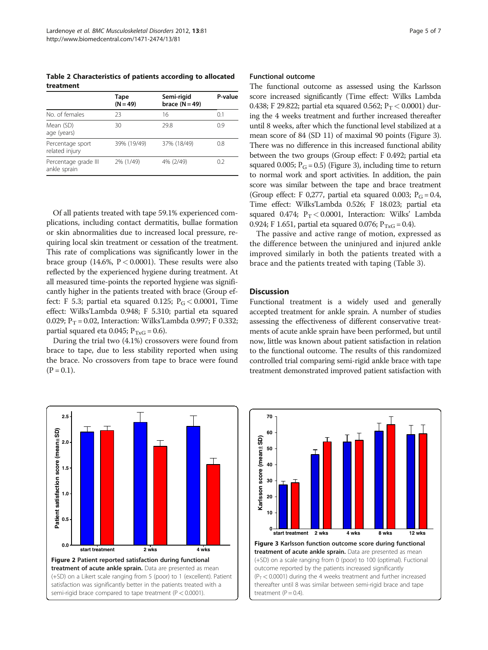<span id="page-4-0"></span>Table 2 Characteristics of patients according to allocated treatment

|                                      | Tape<br>$(N = 49)$ | Semi-rigid<br>brace $(N = 49)$ | P-value |
|--------------------------------------|--------------------|--------------------------------|---------|
| No. of females                       | 23                 | 16                             | 0.1     |
| Mean (SD)<br>age (years)             | 30                 | 29.8                           | 0.9     |
| Percentage sport<br>related injury   | 39% (19/49)        | 37% (18/49)                    | 0.8     |
| Percentage grade III<br>ankle sprain | 2% (1/49)          | 4% (2/49)                      | 02      |

Of all patients treated with tape 59.1% experienced complications, including contact dermatitis, bullae formation or skin abnormalities due to increased local pressure, requiring local skin treatment or cessation of the treatment. This rate of complications was significantly lower in the brace group (14.6%,  $P < 0.0001$ ). These results were also reflected by the experienced hygiene during treatment. At all measured time-points the reported hygiene was significantly higher in the patients treated with brace (Group effect: F 5.3; partial eta squared 0.125;  $P_G < 0.0001$ , Time effect: Wilks'Lambda 0.948; F 5.310; partial eta squared 0.029;  $P_T = 0.02$ , Interaction: Wilks'Lambda 0.997; F 0.332; partial squared eta 0.045;  $P_{TxG} = 0.6$ ).

During the trial two (4.1%) crossovers were found from brace to tape, due to less stability reported when using the brace. No crossovers from tape to brace were found  $(P = 0.1)$ .



# Functional outcome

The functional outcome as assessed using the Karlsson score increased significantly (Time effect: Wilks Lambda 0.438; F 29.822; partial eta squared 0.562;  $P_T < 0.0001$ ) during the 4 weeks treatment and further increased thereafter until 8 weeks, after which the functional level stabilized at a mean score of 84 (SD 11) of maximal 90 points (Figure 3). There was no difference in this increased functional ability between the two groups (Group effect: F 0.492; partial eta squared 0.005;  $P_G = 0.5$ ) (Figure 3), including time to return to normal work and sport activities. In addition, the pain score was similar between the tape and brace treatment (Group effect: F 0,277, partial eta squared 0.003;  $P_G = 0.4$ , Time effect: Wilks'Lambda 0.526; F 18.023; partial eta squared 0.474;  $P_T < 0.0001$ , Interaction: Wilks' Lambda 0.924; F 1.651, partial eta squared 0.076;  $P_{TxG} = 0.4$ ).

The passive and active range of motion, expressed as the difference between the uninjured and injured ankle improved similarly in both the patients treated with a brace and the patients treated with taping (Table [3\)](#page-5-0).

# **Discussion**

Functional treatment is a widely used and generally accepted treatment for ankle sprain. A number of studies assessing the effectiveness of different conservative treatments of acute ankle sprain have been performed, but until now, little was known about patient satisfaction in relation to the functional outcome. The results of this randomized controlled trial comparing semi-rigid ankle brace with tape treatment demonstrated improved patient satisfaction with

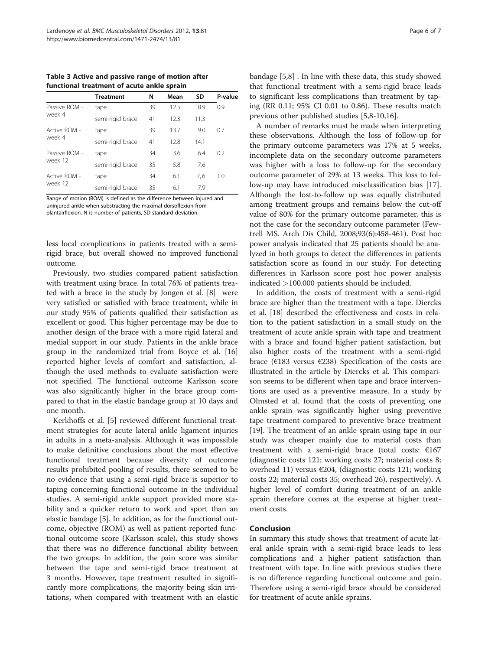<span id="page-5-0"></span>Table 3 Active and passive range of motion after functional treatment of acute ankle sprain

|                          | <b>Treatment</b> | N  | Mean | SD   | P-value |
|--------------------------|------------------|----|------|------|---------|
| Passive ROM -<br>week 4  | tape             | 39 | 12.5 | 8.9  | 0.9     |
|                          | semi-rigid brace | 41 | 12.3 | 11.3 |         |
| Active ROM -<br>week 4   | tape             | 39 | 13.7 | 9.0  | 0.7     |
|                          | semi-rigid brace | 41 | 12.8 | 14.1 |         |
| Passive ROM -<br>week 12 | tape             | 34 | 3.6  | 6.4  | 0.2     |
|                          | semi-rigid brace | 35 | 5.8  | 7.6  |         |
| Active ROM -<br>week 12  | tape             | 34 | 6.1  | 7.6  | 1.0     |
|                          | semi-rigid brace | 35 | 6.1  | 7.9  |         |
|                          |                  |    |      |      |         |

Range of motion (ROM) is defined as the difference between injured and uninjured ankle when substracting the maximal dorsoflexion from plantairflexion. N is number of patients, SD standard deviation.

less local complications in patients treated with a semirigid brace, but overall showed no improved functional outcome.

Previously, two studies compared patient satisfaction with treatment using brace. In total 76% of patients treated with a brace in the study by Jongen et al. [[8\]](#page-6-0) were very satisfied or satisfied with brace treatment, while in our study 95% of patients qualified their satisfaction as excellent or good. This higher percentage may be due to another design of the brace with a more rigid lateral and medial support in our study. Patients in the ankle brace group in the randomized trial from Boyce et al. [[16](#page-6-0)] reported higher levels of comfort and satisfaction, although the used methods to evaluate satisfaction were not specified. The functional outcome Karlsson score was also significantly higher in the brace group compared to that in the elastic bandage group at 10 days and one month.

Kerkhoffs et al. [\[5](#page-6-0)] reviewed different functional treatment strategies for acute lateral ankle ligament injuries in adults in a meta-analysis. Although it was impossible to make definitive conclusions about the most effective functional treatment because diversity of outcome results prohibited pooling of results, there seemed to be no evidence that using a semi-rigid brace is superior to taping concerning functional outcome in the individual studies. A semi-rigid ankle support provided more stability and a quicker return to work and sport than an elastic bandage [[5\]](#page-6-0). In addition, as for the functional outcome, objective (ROM) as well as patient-reported functional outcome score (Karlsson scale), this study shows that there was no difference functional ability between the two groups. In addition, the pain score was similar between the tape and semi-rigid brace treatment at 3 months. However, tape treatment resulted in significantly more complications, the majority being skin irritations, when compared with treatment with an elastic bandage [[5](#page-6-0),[8\]](#page-6-0) . In line with these data, this study showed that functional treatment with a semi-rigid brace leads to significant less complications than treatment by taping (RR 0.11; 95% CI 0.01 to 0.86). These results match previous other published studies [[5,8-10,16](#page-6-0)].

A number of remarks must be made when interpreting these observations. Although the loss of follow-up for the primary outcome parameters was 17% at 5 weeks, incomplete data on the secondary outcome parameters was higher with a loss to follow-up for the secondary outcome parameter of 29% at 13 weeks. This loss to follow-up may have introduced misclassification bias [\[17](#page-6-0)]. Although the lost-to-follow up was equally distributed among treatment groups and remains below the cut-off value of 80% for the primary outcome parameter, this is not the case for the secondary outcome parameter (Fewtrell MS. Arch Dis Child, 2008;93(6):458-461). Post hoc power analysis indicated that 25 patients should be analyzed in both groups to detect the differences in patients satisfaction score as found in our study. For detecting differences in Karlsson score post hoc power analysis indicated >100.000 patients should be included.

In addition, the costs of treatment with a semi-rigid brace are higher than the treatment with a tape. Diercks et al. [[18](#page-6-0)] described the effectiveness and costs in relation to the patient satisfaction in a small study on the treatment of acute ankle sprain with tape and treatment with a brace and found higher patient satisfaction, but also higher costs of the treatment with a semi-rigid brace (€183 versus €238) Specification of the costs are illustrated in the article by Diercks et al. This comparison seems to be different when tape and brace interventions are used as a preventive measure. In a study by Olmsted et al. found that the costs of preventing one ankle sprain was significantly higher using preventive tape treatment compared to preventive brace treatment [[19\]](#page-6-0). The treatment of an ankle sprain using tape in our study was cheaper mainly due to material costs than treatment with a semi-rigid brace (total costs:  $€167$ (diagnostic costs 121; working costs 27; material costs 8; overhead 11) versus €204, (diagnostic costs 121; working costs 22; material costs 35; overhead 26), respectively). A higher level of comfort during treatment of an ankle sprain therefore comes at the expense at higher treatment costs.

# Conclusion

In summary this study shows that treatment of acute lateral ankle sprain with a semi-rigid brace leads to less complications and a higher patient satisfaction than treatment with tape. In line with previous studies there is no difference regarding functional outcome and pain. Therefore using a semi-rigid brace should be considered for treatment of acute ankle sprains.